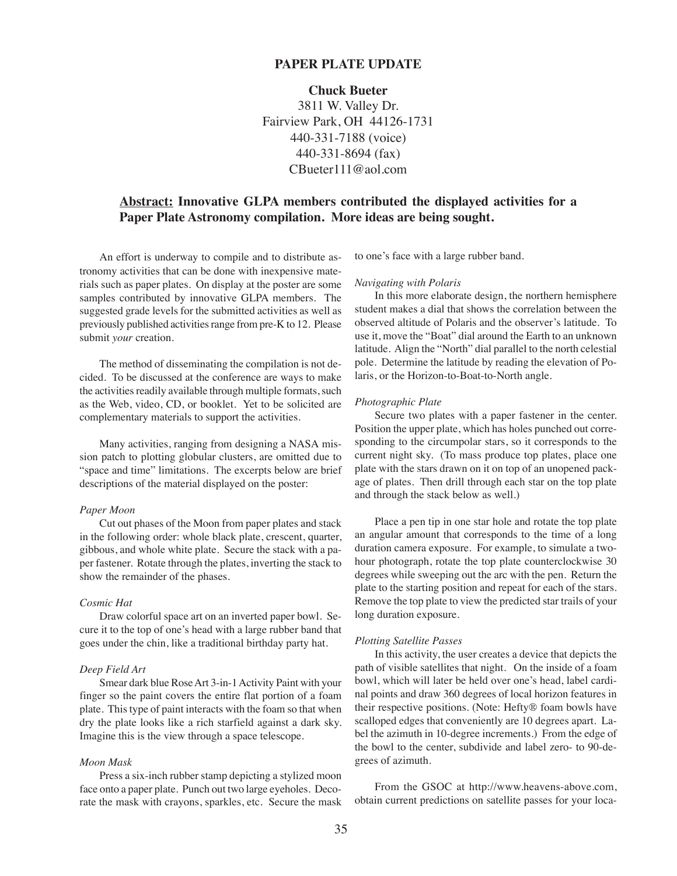# **PAPER PLATE UPDATE**

# **Chuck Bueter**

3811 W. Valley Dr. Fairview Park, OH 44126-1731 440-331-7188 (voice) 440-331-8694 (fax) CBueter111@aol.com

# **Abstract: Innovative GLPA members contributed the displayed activities for a Paper Plate Astronomy compilation. More ideas are being sought.**

An effort is underway to compile and to distribute astronomy activities that can be done with inexpensive materials such as paper plates. On display at the poster are some samples contributed by innovative GLPA members. The suggested grade levels for the submitted activities as well as previously published activities range from pre-K to 12. Please submit *your* creation.

The method of disseminating the compilation is not decided. To be discussed at the conference are ways to make the activities readily available through multiple formats, such as the Web, video, CD, or booklet. Yet to be solicited are complementary materials to support the activities.

Many activities, ranging from designing a NASA mission patch to plotting globular clusters, are omitted due to "space and time" limitations. The excerpts below are brief descriptions of the material displayed on the poster:

# *Paper Moon*

Cut out phases of the Moon from paper plates and stack in the following order: whole black plate, crescent, quarter, gibbous, and whole white plate. Secure the stack with a paper fastener. Rotate through the plates, inverting the stack to show the remainder of the phases.

# *Cosmic Hat*

Draw colorful space art on an inverted paper bowl. Secure it to the top of one's head with a large rubber band that goes under the chin, like a traditional birthday party hat.

# *Deep Field Art*

Smear dark blue Rose Art 3-in-1 Activity Paint with your finger so the paint covers the entire flat portion of a foam plate. This type of paint interacts with the foam so that when dry the plate looks like a rich starfield against a dark sky. Imagine this is the view through a space telescope.

## *Moon Mask*

Press a six-inch rubber stamp depicting a stylized moon face onto a paper plate. Punch out two large eyeholes. Decorate the mask with crayons, sparkles, etc. Secure the mask

to one's face with a large rubber band.

#### *Navigating with Polaris*

In this more elaborate design, the northern hemisphere student makes a dial that shows the correlation between the observed altitude of Polaris and the observer's latitude. To use it, move the "Boat" dial around the Earth to an unknown latitude. Align the "North" dial parallel to the north celestial pole. Determine the latitude by reading the elevation of Polaris, or the Horizon-to-Boat-to-North angle.

#### *Photographic Plate*

Secure two plates with a paper fastener in the center. Position the upper plate, which has holes punched out corresponding to the circumpolar stars, so it corresponds to the current night sky. (To mass produce top plates, place one plate with the stars drawn on it on top of an unopened package of plates. Then drill through each star on the top plate and through the stack below as well.)

Place a pen tip in one star hole and rotate the top plate an angular amount that corresponds to the time of a long duration camera exposure. For example, to simulate a twohour photograph, rotate the top plate counterclockwise 30 degrees while sweeping out the arc with the pen. Return the plate to the starting position and repeat for each of the stars. Remove the top plate to view the predicted star trails of your long duration exposure.

#### *Plotting Satellite Passes*

In this activity, the user creates a device that depicts the path of visible satellites that night. On the inside of a foam bowl, which will later be held over one's head, label cardinal points and draw 360 degrees of local horizon features in their respective positions. (Note: Hefty® foam bowls have scalloped edges that conveniently are 10 degrees apart. Label the azimuth in 10-degree increments.) From the edge of the bowl to the center, subdivide and label zero- to 90-degrees of azimuth.

From the GSOC at http://www.heavens-above.com, obtain current predictions on satellite passes for your loca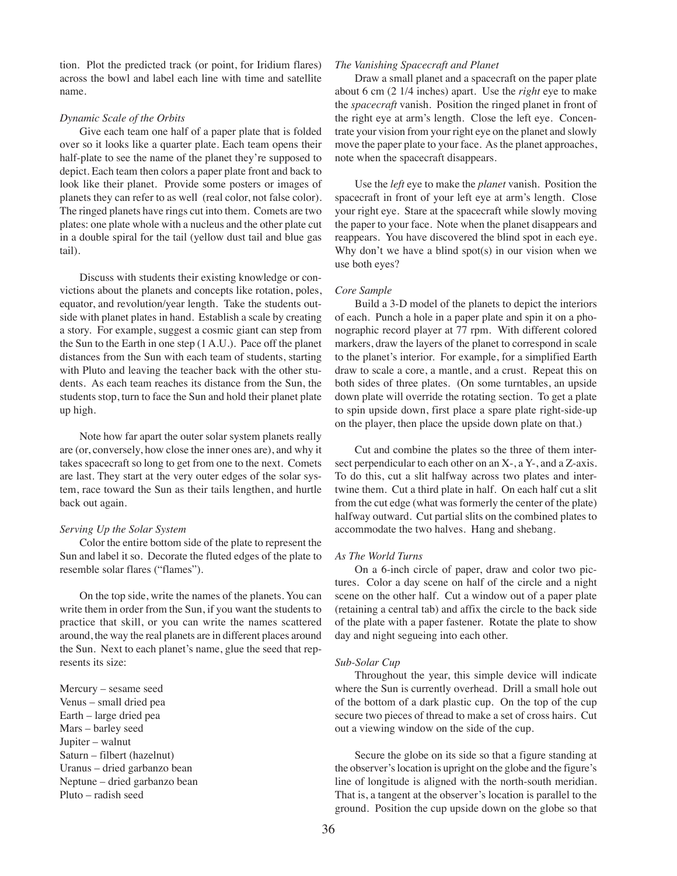tion. Plot the predicted track (or point, for Iridium flares) across the bowl and label each line with time and satellite name.

## *Dynamic Scale of the Orbits*

Give each team one half of a paper plate that is folded over so it looks like a quarter plate. Each team opens their half-plate to see the name of the planet they're supposed to depict. Each team then colors a paper plate front and back to look like their planet. Provide some posters or images of planets they can refer to as well (real color, not false color). The ringed planets have rings cut into them. Comets are two plates: one plate whole with a nucleus and the other plate cut in a double spiral for the tail (yellow dust tail and blue gas tail).

Discuss with students their existing knowledge or convictions about the planets and concepts like rotation, poles, equator, and revolution/year length. Take the students outside with planet plates in hand. Establish a scale by creating a story. For example, suggest a cosmic giant can step from the Sun to the Earth in one step (1 A.U.). Pace off the planet distances from the Sun with each team of students, starting with Pluto and leaving the teacher back with the other students. As each team reaches its distance from the Sun, the students stop, turn to face the Sun and hold their planet plate up high.

Note how far apart the outer solar system planets really are (or, conversely, how close the inner ones are), and why it takes spacecraft so long to get from one to the next. Comets are last. They start at the very outer edges of the solar system, race toward the Sun as their tails lengthen, and hurtle back out again.

## *Serving Up the Solar System*

Color the entire bottom side of the plate to represent the Sun and label it so. Decorate the fluted edges of the plate to resemble solar flares ("flames").

On the top side, write the names of the planets. You can write them in order from the Sun, if you want the students to practice that skill, or you can write the names scattered around, the way the real planets are in different places around the Sun. Next to each planet's name, glue the seed that represents its size:

Mercury – sesame seed Venus – small dried pea Earth – large dried pea Mars – barley seed Jupiter – walnut Saturn – filbert (hazelnut) Uranus – dried garbanzo bean Neptune – dried garbanzo bean Pluto – radish seed

#### *The Vanishing Spacecraft and Planet*

Draw a small planet and a spacecraft on the paper plate about 6 cm (2 1/4 inches) apart. Use the *right* eye to make the *spacecraft* vanish. Position the ringed planet in front of the right eye at arm's length. Close the left eye. Concentrate your vision from your right eye on the planet and slowly move the paper plate to your face. As the planet approaches, note when the spacecraft disappears.

Use the *left* eye to make the *planet* vanish. Position the spacecraft in front of your left eye at arm's length. Close your right eye. Stare at the spacecraft while slowly moving the paper to your face. Note when the planet disappears and reappears. You have discovered the blind spot in each eye. Why don't we have a blind spot(s) in our vision when we use both eyes?

# *Core Sample*

Build a 3-D model of the planets to depict the interiors of each. Punch a hole in a paper plate and spin it on a phonographic record player at 77 rpm. With different colored markers, draw the layers of the planet to correspond in scale to the planet's interior. For example, for a simplified Earth draw to scale a core, a mantle, and a crust. Repeat this on both sides of three plates. (On some turntables, an upside down plate will override the rotating section. To get a plate to spin upside down, first place a spare plate right-side-up on the player, then place the upside down plate on that.)

Cut and combine the plates so the three of them intersect perpendicular to each other on an X-, a Y-, and a Z-axis. To do this, cut a slit halfway across two plates and intertwine them. Cut a third plate in half. On each half cut a slit from the cut edge (what was formerly the center of the plate) halfway outward. Cut partial slits on the combined plates to accommodate the two halves. Hang and shebang.

#### *As The World Turns*

On a 6-inch circle of paper, draw and color two pictures. Color a day scene on half of the circle and a night scene on the other half. Cut a window out of a paper plate (retaining a central tab) and affix the circle to the back side of the plate with a paper fastener. Rotate the plate to show day and night segueing into each other.

#### *Sub-Solar Cup*

Throughout the year, this simple device will indicate where the Sun is currently overhead. Drill a small hole out of the bottom of a dark plastic cup. On the top of the cup secure two pieces of thread to make a set of cross hairs. Cut out a viewing window on the side of the cup.

Secure the globe on its side so that a figure standing at the observer's location is upright on the globe and the figure's line of longitude is aligned with the north-south meridian. That is, a tangent at the observer's location is parallel to the ground. Position the cup upside down on the globe so that